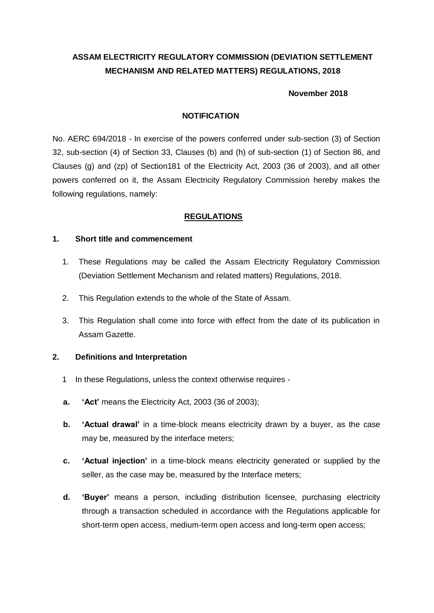# **ASSAM ELECTRICITY REGULATORY COMMISSION (DEVIATION SETTLEMENT MECHANISM AND RELATED MATTERS) REGULATIONS, 2018**

#### **November 2018**

### **NOTIFICATION**

No. AERC 694/2018 - In exercise of the powers conferred under sub-section (3) of Section 32, sub-section (4) of Section 33, Clauses (b) and (h) of sub-section (1) of Section 86, and Clauses (g) and (zp) of Section181 of the Electricity Act, 2003 (36 of 2003), and all other powers conferred on it, the Assam Electricity Regulatory Commission hereby makes the following regulations, namely:

## **REGULATIONS**

#### **1. Short title and commencement**

- 1. These Regulations may be called the Assam Electricity Regulatory Commission (Deviation Settlement Mechanism and related matters) Regulations, 2018.
- 2. This Regulation extends to the whole of the State of Assam.
- 3. This Regulation shall come into force with effect from the date of its publication in Assam Gazette.

## **2. Definitions and Interpretation**

- 1 In these Regulations, unless the context otherwise requires -
- **a. "Act"** means the Electricity Act, 2003 (36 of 2003);
- **b. "Actual drawal"** in a time-block means electricity drawn by a buyer, as the case may be, measured by the interface meters;
- **c. "Actual injection"** in a time-block means electricity generated or supplied by the seller, as the case may be, measured by the Interface meters;
- **d. "Buyer"** means a person, including distribution licensee, purchasing electricity through a transaction scheduled in accordance with the Regulations applicable for short-term open access, medium-term open access and long-term open access;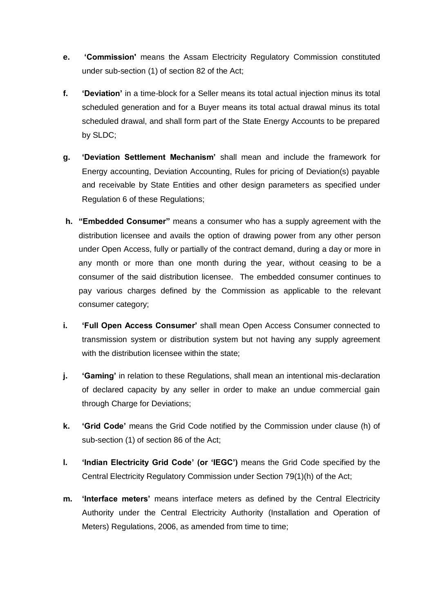- **e. "Commission'** means the Assam Electricity Regulatory Commission constituted under sub-section (1) of section 82 of the Act;
- **f. "Deviation"** in a time-block for a Seller means its total actual injection minus its total scheduled generation and for a Buyer means its total actual drawal minus its total scheduled drawal, and shall form part of the State Energy Accounts to be prepared by SLDC;
- **g. "Deviation Settlement Mechanism"** shall mean and include the framework for Energy accounting, Deviation Accounting, Rules for pricing of Deviation(s) payable and receivable by State Entities and other design parameters as specified under Regulation 6 of these Regulations;
- **h. "Embedded Consumer"** means a consumer who has a supply agreement with the distribution licensee and avails the option of drawing power from any other person under Open Access, fully or partially of the contract demand, during a day or more in any month or more than one month during the year, without ceasing to be a consumer of the said distribution licensee. The embedded consumer continues to pay various charges defined by the Commission as applicable to the relevant consumer category;
- **i. "Full Open Access Consumer"** shall mean Open Access Consumer connected to transmission system or distribution system but not having any supply agreement with the distribution licensee within the state;
- **j. "Gaming"** in relation to these Regulations, shall mean an intentional mis-declaration of declared capacity by any seller in order to make an undue commercial gain through Charge for Deviations;
- **k. "Grid Code"** means the Grid Code notified by the Commission under clause (h) of sub-section (1) of section 86 of the Act;
- **l. "Indian Electricity Grid Code" (or "IEGC")** means the Grid Code specified by the Central Electricity Regulatory Commission under Section 79(1)(h) of the Act;
- **m. "Interface meters"** means interface meters as defined by the Central Electricity Authority under the Central Electricity Authority (Installation and Operation of Meters) Regulations, 2006, as amended from time to time;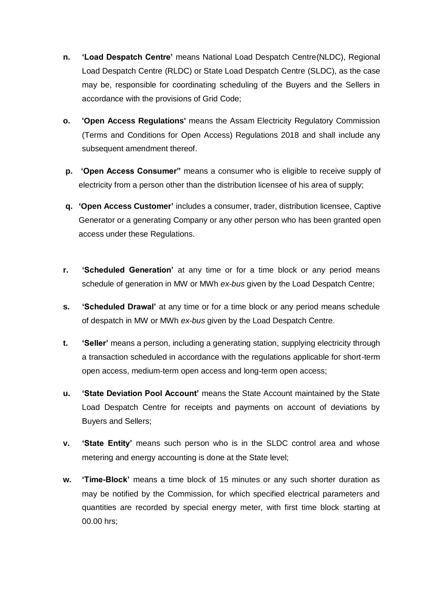- **n. "Load Despatch Centre"** means National Load Despatch Centre(NLDC), Regional Load Despatch Centre (RLDC) or State Load Despatch Centre (SLDC), as the case may be, responsible for coordinating scheduling of the Buyers and the Sellers in accordance with the provisions of Grid Code;
- **o. 'Open Access Regulations'** means the Assam Electricity Regulatory Commission (Terms and Conditions for Open Access) Regulations 2018 and shall include any subsequent amendment thereof.
- **p. "Open Access Consumer"** means a consumer who is eligible to receive supply of electricity from a person other than the distribution licensee of his area of supply;
- **q. "Open Access Customer"** includes a consumer, trader, distribution licensee, Captive Generator or a generating Company or any other person who has been granted open access under these Regulations.
- **r. "Scheduled Generation"** at any time or for a time block or any period means schedule of generation in MW or MWh *ex-bus* given by the Load Despatch Centre;
- **s. "Scheduled Drawal"** at any time or for a time block or any period means schedule of despatch in MW or MWh *ex-bus* given by the Load Despatch Centre.
- **t. "Seller"** means a person, including a generating station, supplying electricity through a transaction scheduled in accordance with the regulations applicable for short-term open access, medium-term open access and long-term open access;
- **u. "State Deviation Pool Account"** means the State Account maintained by the State Load Despatch Centre for receipts and payments on account of deviations by Buyers and Sellers;
- **v. "State Entity"** means such person who is in the SLDC control area and whose metering and energy accounting is done at the State level;
- **w. "Time-Block"** means a time block of 15 minutes or any such shorter duration as may be notified by the Commission, for which specified electrical parameters and quantities are recorded by special energy meter, with first time block starting at 00.00 hrs;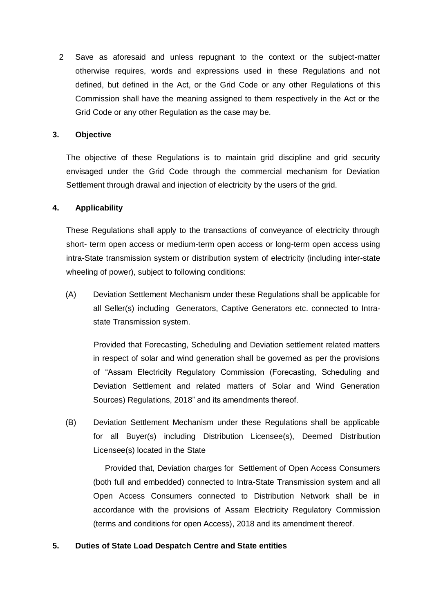2 Save as aforesaid and unless repugnant to the context or the subject-matter otherwise requires, words and expressions used in these Regulations and not defined, but defined in the Act, or the Grid Code or any other Regulations of this Commission shall have the meaning assigned to them respectively in the Act or the Grid Code or any other Regulation as the case may be.

## **3. Objective**

The objective of these Regulations is to maintain grid discipline and grid security envisaged under the Grid Code through the commercial mechanism for Deviation Settlement through drawal and injection of electricity by the users of the grid.

## **4. Applicability**

These Regulations shall apply to the transactions of conveyance of electricity through short- term open access or medium-term open access or long-term open access using intra-State transmission system or distribution system of electricity (including inter-state wheeling of power), subject to following conditions:

(A) Deviation Settlement Mechanism under these Regulations shall be applicable for all Seller(s) including Generators, Captive Generators etc. connected to Intrastate Transmission system.

Provided that Forecasting, Scheduling and Deviation settlement related matters in respect of solar and wind generation shall be governed as per the provisions of "Assam Electricity Regulatory Commission (Forecasting, Scheduling and Deviation Settlement and related matters of Solar and Wind Generation Sources) Regulations, 2018" and its amendments thereof.

(B) Deviation Settlement Mechanism under these Regulations shall be applicable for all Buyer(s) including Distribution Licensee(s), Deemed Distribution Licensee(s) located in the State

Provided that, Deviation charges for Settlement of Open Access Consumers (both full and embedded) connected to Intra-State Transmission system and all Open Access Consumers connected to Distribution Network shall be in accordance with the provisions of Assam Electricity Regulatory Commission (terms and conditions for open Access), 2018 and its amendment thereof.

## **5. Duties of State Load Despatch Centre and State entities**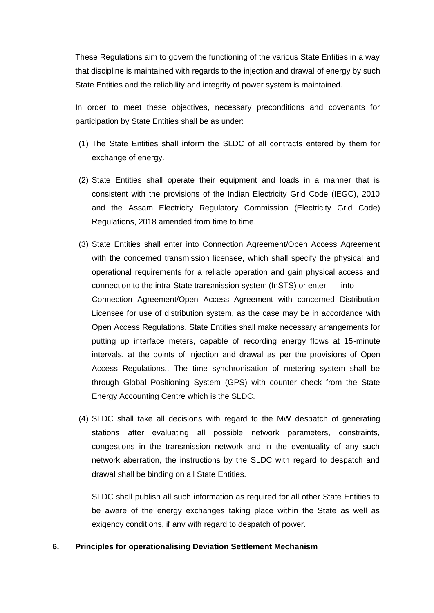These Regulations aim to govern the functioning of the various State Entities in a way that discipline is maintained with regards to the injection and drawal of energy by such State Entities and the reliability and integrity of power system is maintained.

In order to meet these objectives, necessary preconditions and covenants for participation by State Entities shall be as under:

- (1) The State Entities shall inform the SLDC of all contracts entered by them for exchange of energy.
- (2) State Entities shall operate their equipment and loads in a manner that is consistent with the provisions of the Indian Electricity Grid Code (IEGC), 2010 and the Assam Electricity Regulatory Commission (Electricity Grid Code) Regulations, 2018 amended from time to time.
- (3) State Entities shall enter into Connection Agreement/Open Access Agreement with the concerned transmission licensee, which shall specify the physical and operational requirements for a reliable operation and gain physical access and connection to the intra-State transmission system (InSTS) or enter into Connection Agreement/Open Access Agreement with concerned Distribution Licensee for use of distribution system, as the case may be in accordance with Open Access Regulations. State Entities shall make necessary arrangements for putting up interface meters, capable of recording energy flows at 15-minute intervals, at the points of injection and drawal as per the provisions of Open Access Regulations.. The time synchronisation of metering system shall be through Global Positioning System (GPS) with counter check from the State Energy Accounting Centre which is the SLDC.
- (4) SLDC shall take all decisions with regard to the MW despatch of generating stations after evaluating all possible network parameters, constraints, congestions in the transmission network and in the eventuality of any such network aberration, the instructions by the SLDC with regard to despatch and drawal shall be binding on all State Entities.

SLDC shall publish all such information as required for all other State Entities to be aware of the energy exchanges taking place within the State as well as exigency conditions, if any with regard to despatch of power.

## **6. Principles for operationalising Deviation Settlement Mechanism**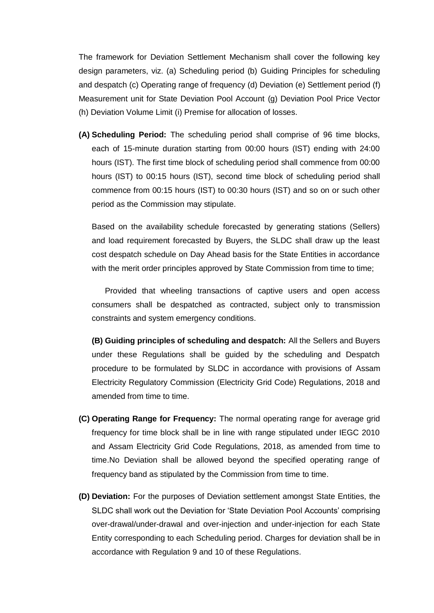The framework for Deviation Settlement Mechanism shall cover the following key design parameters, viz. (a) Scheduling period (b) Guiding Principles for scheduling and despatch (c) Operating range of frequency (d) Deviation (e) Settlement period (f) Measurement unit for State Deviation Pool Account (g) Deviation Pool Price Vector (h) Deviation Volume Limit (i) Premise for allocation of losses.

**(A) Scheduling Period:** The scheduling period shall comprise of 96 time blocks, each of 15-minute duration starting from 00:00 hours (IST) ending with 24:00 hours (IST). The first time block of scheduling period shall commence from 00:00 hours (IST) to 00:15 hours (IST), second time block of scheduling period shall commence from 00:15 hours (IST) to 00:30 hours (IST) and so on or such other period as the Commission may stipulate.

Based on the availability schedule forecasted by generating stations (Sellers) and load requirement forecasted by Buyers, the SLDC shall draw up the least cost despatch schedule on Day Ahead basis for the State Entities in accordance with the merit order principles approved by State Commission from time to time;

Provided that wheeling transactions of captive users and open access consumers shall be despatched as contracted, subject only to transmission constraints and system emergency conditions.

**(B) Guiding principles of scheduling and despatch:** All the Sellers and Buyers under these Regulations shall be guided by the scheduling and Despatch procedure to be formulated by SLDC in accordance with provisions of Assam Electricity Regulatory Commission (Electricity Grid Code) Regulations, 2018 and amended from time to time.

- **(C) Operating Range for Frequency:** The normal operating range for average grid frequency for time block shall be in line with range stipulated under IEGC 2010 and Assam Electricity Grid Code Regulations, 2018, as amended from time to time.No Deviation shall be allowed beyond the specified operating range of frequency band as stipulated by the Commission from time to time.
- **(D) Deviation:** For the purposes of Deviation settlement amongst State Entities, the SLDC shall work out the Deviation for "State Deviation Pool Accounts" comprising over-drawal/under-drawal and over-injection and under-injection for each State Entity corresponding to each Scheduling period. Charges for deviation shall be in accordance with Regulation 9 and 10 of these Regulations.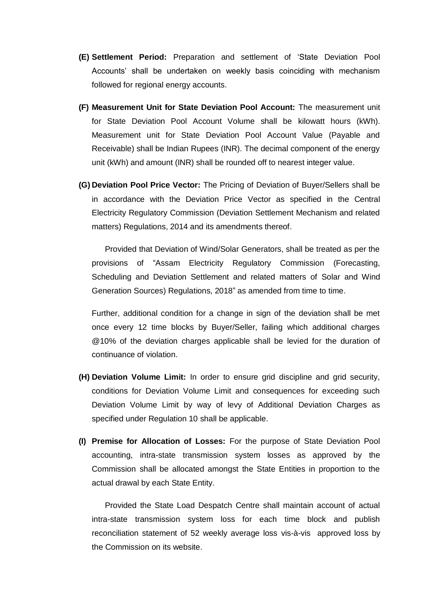- **(E) Settlement Period:** Preparation and settlement of "State Deviation Pool Accounts" shall be undertaken on weekly basis coinciding with mechanism followed for regional energy accounts.
- **(F) Measurement Unit for State Deviation Pool Account:** The measurement unit for State Deviation Pool Account Volume shall be kilowatt hours (kWh). Measurement unit for State Deviation Pool Account Value (Payable and Receivable) shall be Indian Rupees (INR). The decimal component of the energy unit (kWh) and amount (INR) shall be rounded off to nearest integer value.
- **(G) Deviation Pool Price Vector:** The Pricing of Deviation of Buyer/Sellers shall be in accordance with the Deviation Price Vector as specified in the Central Electricity Regulatory Commission (Deviation Settlement Mechanism and related matters) Regulations, 2014 and its amendments thereof.

Provided that Deviation of Wind/Solar Generators, shall be treated as per the provisions of "Assam Electricity Regulatory Commission (Forecasting, Scheduling and Deviation Settlement and related matters of Solar and Wind Generation Sources) Regulations, 2018" as amended from time to time.

Further, additional condition for a change in sign of the deviation shall be met once every 12 time blocks by Buyer/Seller, failing which additional charges @10% of the deviation charges applicable shall be levied for the duration of continuance of violation.

- **(H) Deviation Volume Limit:** In order to ensure grid discipline and grid security, conditions for Deviation Volume Limit and consequences for exceeding such Deviation Volume Limit by way of levy of Additional Deviation Charges as specified under Regulation 10 shall be applicable.
- **(I) Premise for Allocation of Losses:** For the purpose of State Deviation Pool accounting, intra-state transmission system losses as approved by the Commission shall be allocated amongst the State Entities in proportion to the actual drawal by each State Entity.

Provided the State Load Despatch Centre shall maintain account of actual intra-state transmission system loss for each time block and publish reconciliation statement of 52 weekly average loss vis-à-vis approved loss by the Commission on its website.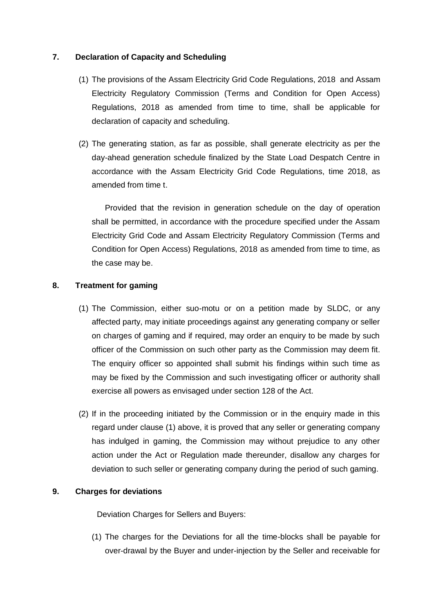## **7. Declaration of Capacity and Scheduling**

- (1) The provisions of the Assam Electricity Grid Code Regulations, 2018 and Assam Electricity Regulatory Commission (Terms and Condition for Open Access) Regulations, 2018 as amended from time to time, shall be applicable for declaration of capacity and scheduling.
- (2) The generating station, as far as possible, shall generate electricity as per the day-ahead generation schedule finalized by the State Load Despatch Centre in accordance with the Assam Electricity Grid Code Regulations, time 2018, as amended from time t.

Provided that the revision in generation schedule on the day of operation shall be permitted, in accordance with the procedure specified under the Assam Electricity Grid Code and Assam Electricity Regulatory Commission (Terms and Condition for Open Access) Regulations, 2018 as amended from time to time, as the case may be.

## **8. Treatment for gaming**

- (1) The Commission, either suo-motu or on a petition made by SLDC, or any affected party, may initiate proceedings against any generating company or seller on charges of gaming and if required, may order an enquiry to be made by such officer of the Commission on such other party as the Commission may deem fit. The enquiry officer so appointed shall submit his findings within such time as may be fixed by the Commission and such investigating officer or authority shall exercise all powers as envisaged under section 128 of the Act.
- (2) If in the proceeding initiated by the Commission or in the enquiry made in this regard under clause (1) above, it is proved that any seller or generating company has indulged in gaming, the Commission may without prejudice to any other action under the Act or Regulation made thereunder, disallow any charges for deviation to such seller or generating company during the period of such gaming.

## **9. Charges for deviations**

Deviation Charges for Sellers and Buyers:

(1) The charges for the Deviations for all the time-blocks shall be payable for over-drawal by the Buyer and under-injection by the Seller and receivable for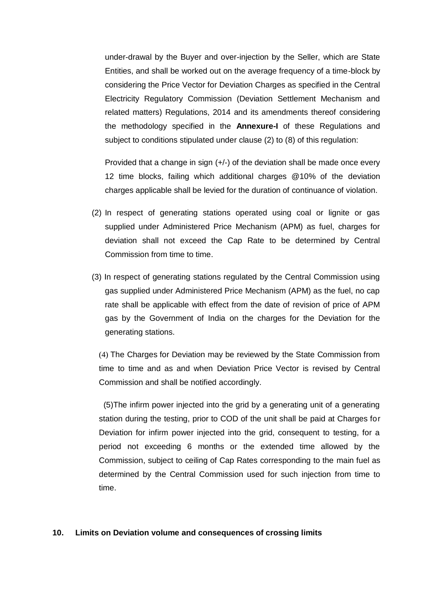under-drawal by the Buyer and over-injection by the Seller, which are State Entities, and shall be worked out on the average frequency of a time-block by considering the Price Vector for Deviation Charges as specified in the Central Electricity Regulatory Commission (Deviation Settlement Mechanism and related matters) Regulations, 2014 and its amendments thereof considering the methodology specified in the **Annexure-I** of these Regulations and subject to conditions stipulated under clause (2) to (8) of this regulation:

Provided that a change in sign (+/-) of the deviation shall be made once every 12 time blocks, failing which additional charges @10% of the deviation charges applicable shall be levied for the duration of continuance of violation.

- (2) In respect of generating stations operated using coal or lignite or gas supplied under Administered Price Mechanism (APM) as fuel, charges for deviation shall not exceed the Cap Rate to be determined by Central Commission from time to time.
- (3) In respect of generating stations regulated by the Central Commission using gas supplied under Administered Price Mechanism (APM) as the fuel, no cap rate shall be applicable with effect from the date of revision of price of APM gas by the Government of India on the charges for the Deviation for the generating stations.

(4) The Charges for Deviation may be reviewed by the State Commission from time to time and as and when Deviation Price Vector is revised by Central Commission and shall be notified accordingly.

 (5)The infirm power injected into the grid by a generating unit of a generating station during the testing, prior to COD of the unit shall be paid at Charges for Deviation for infirm power injected into the grid, consequent to testing, for a period not exceeding 6 months or the extended time allowed by the Commission, subject to ceiling of Cap Rates corresponding to the main fuel as determined by the Central Commission used for such injection from time to time.

#### **10. Limits on Deviation volume and consequences of crossing limits**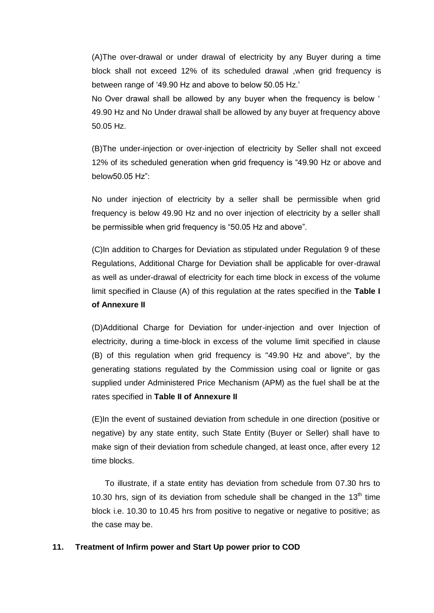(A)The over-drawal or under drawal of electricity by any Buyer during a time block shall not exceed 12% of its scheduled drawal ,when grid frequency is between range of "49.90 Hz and above to below 50.05 Hz."

No Over drawal shall be allowed by any buyer when the frequency is below ' 49.90 Hz and No Under drawal shall be allowed by any buyer at frequency above 50.05 Hz.

(B)The under-injection or over-injection of electricity by Seller shall not exceed 12% of its scheduled generation when grid frequency is "49.90 Hz or above and below50.05 Hz":

No under injection of electricity by a seller shall be permissible when grid frequency is below 49.90 Hz and no over injection of electricity by a seller shall be permissible when grid frequency is "50.05 Hz and above".

(C)In addition to Charges for Deviation as stipulated under Regulation 9 of these Regulations, Additional Charge for Deviation shall be applicable for over-drawal as well as under-drawal of electricity for each time block in excess of the volume limit specified in Clause (A) of this regulation at the rates specified in the **Table I of Annexure II**

(D)Additional Charge for Deviation for under-injection and over Injection of electricity, during a time-block in excess of the volume limit specified in clause (B) of this regulation when grid frequency is "49.90 Hz and above", by the generating stations regulated by the Commission using coal or lignite or gas supplied under Administered Price Mechanism (APM) as the fuel shall be at the rates specified in **Table II of Annexure II**

(E)In the event of sustained deviation from schedule in one direction (positive or negative) by any state entity, such State Entity (Buyer or Seller) shall have to make sign of their deviation from schedule changed, at least once, after every 12 time blocks.

To illustrate, if a state entity has deviation from schedule from 07.30 hrs to 10.30 hrs, sign of its deviation from schedule shall be changed in the  $13<sup>th</sup>$  time block i.e. 10.30 to 10.45 hrs from positive to negative or negative to positive; as the case may be.

#### **11. Treatment of Infirm power and Start Up power prior to COD**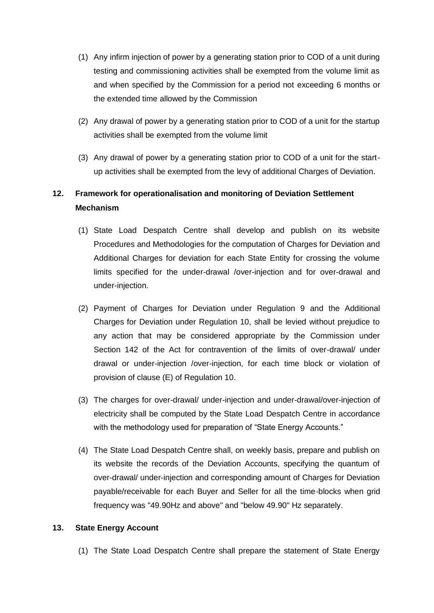- (1) Any infirm injection of power by a generating station prior to COD of a unit during testing and commissioning activities shall be exempted from the volume limit as and when specified by the Commission for a period not exceeding 6 months or the extended time allowed by the Commission
- (2) Any drawal of power by a generating station prior to COD of a unit for the startup activities shall be exempted from the volume limit
- (3) Any drawal of power by a generating station prior to COD of a unit for the startup activities shall be exempted from the levy of additional Charges of Deviation.

# **12. Framework for operationalisation and monitoring of Deviation Settlement Mechanism**

- (1) State Load Despatch Centre shall develop and publish on its website Procedures and Methodologies for the computation of Charges for Deviation and Additional Charges for deviation for each State Entity for crossing the volume limits specified for the under-drawal /over-injection and for over-drawal and under-injection.
- (2) Payment of Charges for Deviation under Regulation 9 and the Additional Charges for Deviation under Regulation 10, shall be levied without prejudice to any action that may be considered appropriate by the Commission under Section 142 of the Act for contravention of the limits of over-drawal/ under drawal or under-injection /over-injection, for each time block or violation of provision of clause (E) of Regulation 10.
- (3) The charges for over-drawal/ under-injection and under-drawal/over-injection of electricity shall be computed by the State Load Despatch Centre in accordance with the methodology used for preparation of "State Energy Accounts."
- (4) The State Load Despatch Centre shall, on weekly basis, prepare and publish on its website the records of the Deviation Accounts, specifying the quantum of over-drawal/ under-injection and corresponding amount of Charges for Deviation payable/receivable for each Buyer and Seller for all the time-blocks when grid frequency was "49.90Hz and above" and "below 49.90" Hz separately.

## **13. State Energy Account**

(1) The State Load Despatch Centre shall prepare the statement of State Energy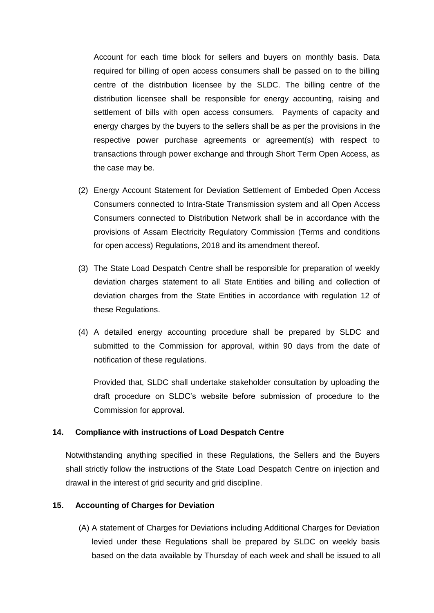Account for each time block for sellers and buyers on monthly basis. Data required for billing of open access consumers shall be passed on to the billing centre of the distribution licensee by the SLDC. The billing centre of the distribution licensee shall be responsible for energy accounting, raising and settlement of bills with open access consumers. Payments of capacity and energy charges by the buyers to the sellers shall be as per the provisions in the respective power purchase agreements or agreement(s) with respect to transactions through power exchange and through Short Term Open Access, as the case may be.

- (2) Energy Account Statement for Deviation Settlement of Embeded Open Access Consumers connected to Intra-State Transmission system and all Open Access Consumers connected to Distribution Network shall be in accordance with the provisions of Assam Electricity Regulatory Commission (Terms and conditions for open access) Regulations, 2018 and its amendment thereof.
- (3) The State Load Despatch Centre shall be responsible for preparation of weekly deviation charges statement to all State Entities and billing and collection of deviation charges from the State Entities in accordance with regulation 12 of these Regulations.
- (4) A detailed energy accounting procedure shall be prepared by SLDC and submitted to the Commission for approval, within 90 days from the date of notification of these regulations.

Provided that, SLDC shall undertake stakeholder consultation by uploading the draft procedure on SLDC"s website before submission of procedure to the Commission for approval.

#### **14. Compliance with instructions of Load Despatch Centre**

Notwithstanding anything specified in these Regulations, the Sellers and the Buyers shall strictly follow the instructions of the State Load Despatch Centre on injection and drawal in the interest of grid security and grid discipline.

#### **15. Accounting of Charges for Deviation**

(A) A statement of Charges for Deviations including Additional Charges for Deviation levied under these Regulations shall be prepared by SLDC on weekly basis based on the data available by Thursday of each week and shall be issued to all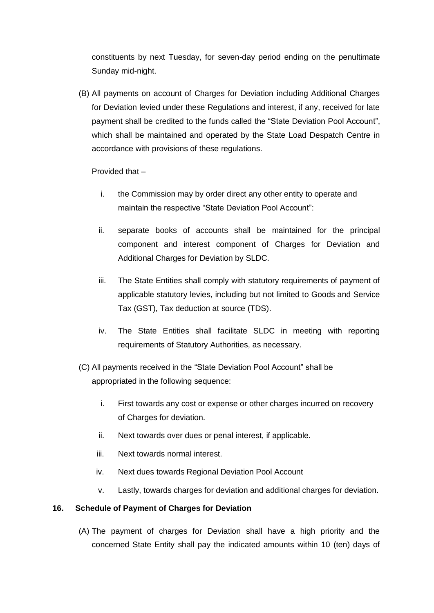constituents by next Tuesday, for seven-day period ending on the penultimate Sunday mid-night.

(B) All payments on account of Charges for Deviation including Additional Charges for Deviation levied under these Regulations and interest, if any, received for late payment shall be credited to the funds called the "State Deviation Pool Account", which shall be maintained and operated by the State Load Despatch Centre in accordance with provisions of these regulations.

## Provided that –

- i. the Commission may by order direct any other entity to operate and maintain the respective "State Deviation Pool Account":
- ii. separate books of accounts shall be maintained for the principal component and interest component of Charges for Deviation and Additional Charges for Deviation by SLDC.
- iii. The State Entities shall comply with statutory requirements of payment of applicable statutory levies, including but not limited to Goods and Service Tax (GST), Tax deduction at source (TDS).
- iv. The State Entities shall facilitate SLDC in meeting with reporting requirements of Statutory Authorities, as necessary.
- (C) All payments received in the "State Deviation Pool Account" shall be appropriated in the following sequence:
	- i. First towards any cost or expense or other charges incurred on recovery of Charges for deviation.
	- ii. Next towards over dues or penal interest, if applicable.
	- iii. Next towards normal interest.
	- iv. Next dues towards Regional Deviation Pool Account
	- v. Lastly, towards charges for deviation and additional charges for deviation.

## **16. Schedule of Payment of Charges for Deviation**

(A) The payment of charges for Deviation shall have a high priority and the concerned State Entity shall pay the indicated amounts within 10 (ten) days of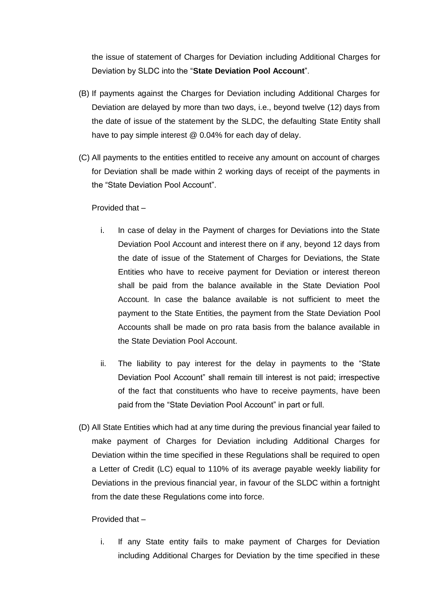the issue of statement of Charges for Deviation including Additional Charges for Deviation by SLDC into the "**State Deviation Pool Account**".

- (B) If payments against the Charges for Deviation including Additional Charges for Deviation are delayed by more than two days, i.e., beyond twelve (12) days from the date of issue of the statement by the SLDC, the defaulting State Entity shall have to pay simple interest @ 0.04% for each day of delay.
- (C) All payments to the entities entitled to receive any amount on account of charges for Deviation shall be made within 2 working days of receipt of the payments in the "State Deviation Pool Account".

## Provided that –

- i. In case of delay in the Payment of charges for Deviations into the State Deviation Pool Account and interest there on if any, beyond 12 days from the date of issue of the Statement of Charges for Deviations, the State Entities who have to receive payment for Deviation or interest thereon shall be paid from the balance available in the State Deviation Pool Account. In case the balance available is not sufficient to meet the payment to the State Entities, the payment from the State Deviation Pool Accounts shall be made on pro rata basis from the balance available in the State Deviation Pool Account.
- ii. The liability to pay interest for the delay in payments to the "State Deviation Pool Account" shall remain till interest is not paid; irrespective of the fact that constituents who have to receive payments, have been paid from the "State Deviation Pool Account" in part or full.
- (D) All State Entities which had at any time during the previous financial year failed to make payment of Charges for Deviation including Additional Charges for Deviation within the time specified in these Regulations shall be required to open a Letter of Credit (LC) equal to 110% of its average payable weekly liability for Deviations in the previous financial year, in favour of the SLDC within a fortnight from the date these Regulations come into force.

## Provided that –

i. If any State entity fails to make payment of Charges for Deviation including Additional Charges for Deviation by the time specified in these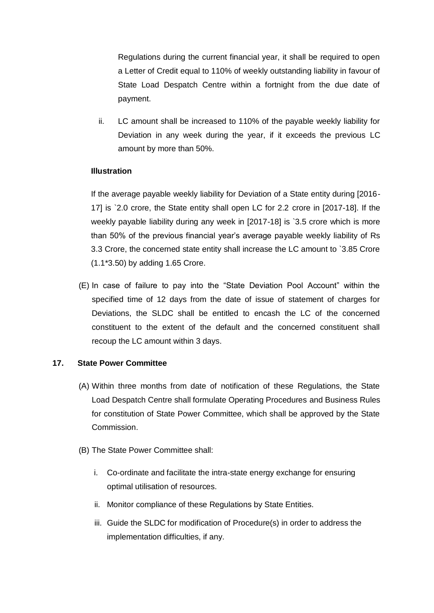Regulations during the current financial year, it shall be required to open a Letter of Credit equal to 110% of weekly outstanding liability in favour of State Load Despatch Centre within a fortnight from the due date of payment.

ii. LC amount shall be increased to 110% of the payable weekly liability for Deviation in any week during the year, if it exceeds the previous LC amount by more than 50%.

## **Illustration**

If the average payable weekly liability for Deviation of a State entity during [2016- 17] is `2.0 crore, the State entity shall open LC for 2.2 crore in [2017-18]. If the weekly payable liability during any week in [2017-18] is `3.5 crore which is more than 50% of the previous financial year"s average payable weekly liability of Rs 3.3 Crore, the concerned state entity shall increase the LC amount to `3.85 Crore (1.1\*3.50) by adding 1.65 Crore.

(E) In case of failure to pay into the "State Deviation Pool Account" within the specified time of 12 days from the date of issue of statement of charges for Deviations, the SLDC shall be entitled to encash the LC of the concerned constituent to the extent of the default and the concerned constituent shall recoup the LC amount within 3 days.

## **17. State Power Committee**

- (A) Within three months from date of notification of these Regulations, the State Load Despatch Centre shall formulate Operating Procedures and Business Rules for constitution of State Power Committee, which shall be approved by the State Commission.
- (B) The State Power Committee shall:
	- i. Co-ordinate and facilitate the intra-state energy exchange for ensuring optimal utilisation of resources.
	- ii. Monitor compliance of these Regulations by State Entities.
	- iii. Guide the SLDC for modification of Procedure(s) in order to address the implementation difficulties, if any.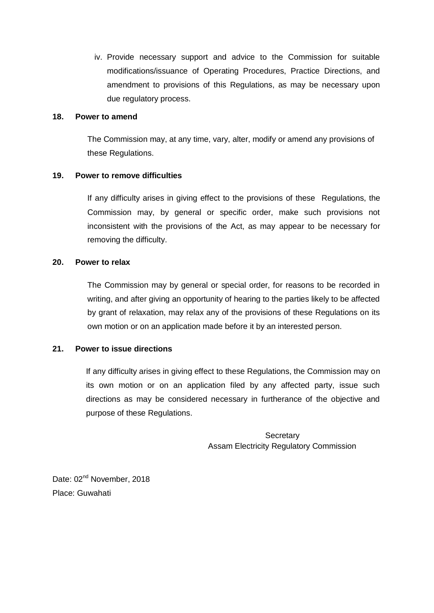iv. Provide necessary support and advice to the Commission for suitable modifications/issuance of Operating Procedures, Practice Directions, and amendment to provisions of this Regulations, as may be necessary upon due regulatory process.

### **18. Power to amend**

The Commission may, at any time, vary, alter, modify or amend any provisions of these Regulations.

## **19. Power to remove difficulties**

If any difficulty arises in giving effect to the provisions of these Regulations, the Commission may, by general or specific order, make such provisions not inconsistent with the provisions of the Act, as may appear to be necessary for removing the difficulty.

## **20. Power to relax**

The Commission may by general or special order, for reasons to be recorded in writing, and after giving an opportunity of hearing to the parties likely to be affected by grant of relaxation, may relax any of the provisions of these Regulations on its own motion or on an application made before it by an interested person.

## **21. Power to issue directions**

If any difficulty arises in giving effect to these Regulations, the Commission may on its own motion or on an application filed by any affected party, issue such directions as may be considered necessary in furtherance of the objective and purpose of these Regulations.

> **Secretary** Assam Electricity Regulatory Commission

Date: 02<sup>nd</sup> November, 2018 Place: Guwahati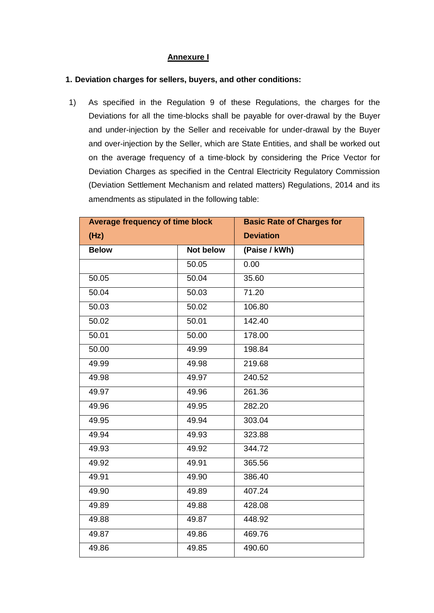## **Annexure I**

### **1. Deviation charges for sellers, buyers, and other conditions:**

1) As specified in the Regulation 9 of these Regulations, the charges for the Deviations for all the time-blocks shall be payable for over-drawal by the Buyer and under-injection by the Seller and receivable for under-drawal by the Buyer and over-injection by the Seller, which are State Entities, and shall be worked out on the average frequency of a time-block by considering the Price Vector for Deviation Charges as specified in the Central Electricity Regulatory Commission (Deviation Settlement Mechanism and related matters) Regulations, 2014 and its amendments as stipulated in the following table:

| <b>Average frequency of time block</b> |                  | <b>Basic Rate of Charges for</b> |
|----------------------------------------|------------------|----------------------------------|
| (Hz)                                   |                  | <b>Deviation</b>                 |
| <b>Below</b>                           | <b>Not below</b> | (Paise / kWh)                    |
|                                        | 50.05            | 0.00                             |
| 50.05                                  | 50.04            | 35.60                            |
| 50.04                                  | 50.03            | 71.20                            |
| 50.03                                  | 50.02            | 106.80                           |
| 50.02                                  | 50.01            | 142.40                           |
| 50.01                                  | 50.00            | 178.00                           |
| 50.00                                  | 49.99            | 198.84                           |
| 49.99                                  | 49.98            | 219.68                           |
| 49.98                                  | 49.97            | 240.52                           |
| 49.97                                  | 49.96            | 261.36                           |
| 49.96                                  | 49.95            | 282.20                           |
| 49.95                                  | 49.94            | 303.04                           |
| 49.94                                  | 49.93            | 323.88                           |
| 49.93                                  | 49.92            | 344.72                           |
| 49.92                                  | 49.91            | 365.56                           |
| 49.91                                  | 49.90            | 386.40                           |
| 49.90                                  | 49.89            | 407.24                           |
| 49.89                                  | 49.88            | 428.08                           |
| 49.88                                  | 49.87            | 448.92                           |
| 49.87                                  | 49.86            | 469.76                           |
| 49.86                                  | 49.85            | 490.60                           |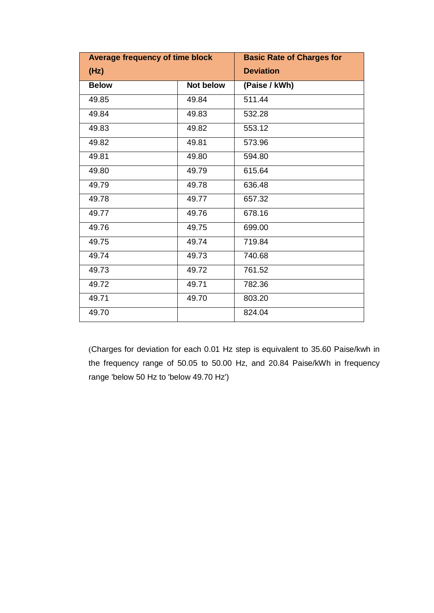| Average frequency of time block |           | <b>Basic Rate of Charges for</b> |
|---------------------------------|-----------|----------------------------------|
| (Hz)                            |           | <b>Deviation</b>                 |
| <b>Below</b>                    | Not below | (Paise / kWh)                    |
| 49.85                           | 49.84     | 511.44                           |
| 49.84                           | 49.83     | 532.28                           |
| 49.83                           | 49.82     | 553.12                           |
| 49.82                           | 49.81     | 573.96                           |
| 49.81                           | 49.80     | 594.80                           |
| 49.80                           | 49.79     | 615.64                           |
| 49.79                           | 49.78     | 636.48                           |
| 49.78                           | 49.77     | 657.32                           |
| 49.77                           | 49.76     | 678.16                           |
| 49.76                           | 49.75     | 699.00                           |
| 49.75                           | 49.74     | 719.84                           |
| 49.74                           | 49.73     | 740.68                           |
| 49.73                           | 49.72     | 761.52                           |
| 49.72                           | 49.71     | 782.36                           |
| 49.71                           | 49.70     | 803.20                           |
| 49.70                           |           | 824.04                           |

(Charges for deviation for each 0.01 Hz step is equivalent to 35.60 Paise/kwh in the frequency range of 50.05 to 50.00 Hz, and 20.84 Paise/kWh in frequency range 'below 50 Hz to 'below 49.70 Hz')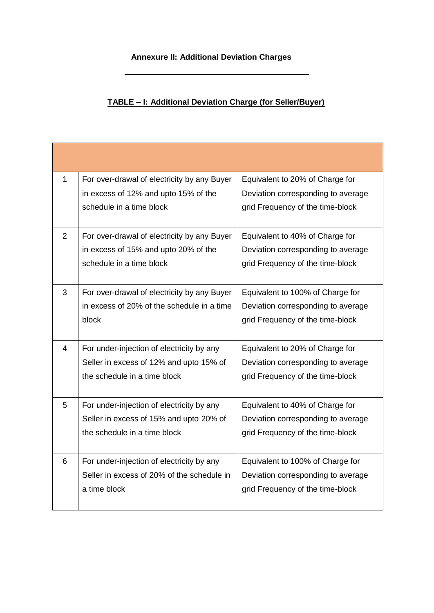# **Annexure II: Additional Deviation Charges**

# **TABLE – I: Additional Deviation Charge (for Seller/Buyer)**

| $\mathbf{1}$ | For over-drawal of electricity by any Buyer | Equivalent to 20% of Charge for    |
|--------------|---------------------------------------------|------------------------------------|
|              | in excess of 12% and upto 15% of the        | Deviation corresponding to average |
|              | schedule in a time block                    | grid Frequency of the time-block   |
| 2            | For over-drawal of electricity by any Buyer | Equivalent to 40% of Charge for    |
|              | in excess of 15% and upto 20% of the        | Deviation corresponding to average |
|              | schedule in a time block                    | grid Frequency of the time-block   |
|              |                                             |                                    |
| 3            | For over-drawal of electricity by any Buyer | Equivalent to 100% of Charge for   |
|              | in excess of 20% of the schedule in a time  | Deviation corresponding to average |
|              | block                                       | grid Frequency of the time-block   |
|              |                                             |                                    |
| 4            | For under-injection of electricity by any   | Equivalent to 20% of Charge for    |
|              | Seller in excess of 12% and upto 15% of     | Deviation corresponding to average |
|              | the schedule in a time block                | grid Frequency of the time-block   |
|              |                                             |                                    |
| 5            | For under-injection of electricity by any   | Equivalent to 40% of Charge for    |
|              | Seller in excess of 15% and upto 20% of     | Deviation corresponding to average |
|              | the schedule in a time block                | grid Frequency of the time-block   |
|              |                                             |                                    |
| 6            | For under-injection of electricity by any   | Equivalent to 100% of Charge for   |
|              | Seller in excess of 20% of the schedule in  | Deviation corresponding to average |
|              | a time block                                | grid Frequency of the time-block   |
|              |                                             |                                    |